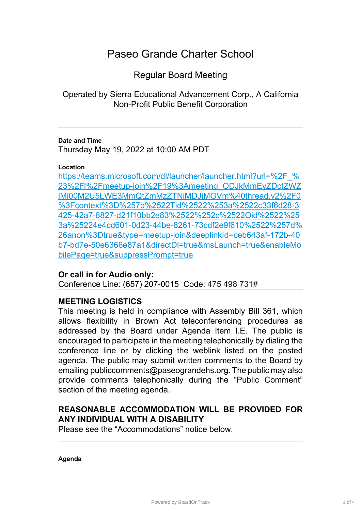# Paseo Grande Charter School

Regular Board Meeting

Operated by Sierra Educational Advancement Corp., A California Non-Profit Public Benefit Corporation

## **Date and Time**

Thursday May 19, 2022 at 10:00 AM PDT

#### **Location**

https://teams.microsoft.com/dl/launcher/launcher.html?url=%2F % 23%2Fl%2Fmeetup-join%2F19%3Ameeting\_ODJkMmEyZDctZWZ [lMi00M2U5LWE3MmQtZmMzZTNiMDJjMGVm%40thread.v2%2F0](https://teams.microsoft.com/dl/launcher/launcher.html?url=%2F_%23%2Fl%2Fmeetup-join%2F19%3Ameeting_ODJkMmEyZDctZWZlMi00M2U5LWE3MmQtZmMzZTNiMDJjMGVm%40thread.v2%2F0%3Fcontext%3D%257b%2522Tid%2522%253a%2522c33f6d28-3425-42a7-8827-d21f10bb2e83%2522%252c%2522Oid%2522%253a%25224e4cd601-0d23-44be-8261-73cdf2e9f610%2522%257d%26anon%3Dtrue&type=meetup-join&deeplinkId=ceb643af-172b-40b7-bd7e-50e6366e87a1&directDl=true&msLaunch=true&enableMobilePage=true&suppressPrompt=true) %3Fcontext%3D%257b%2522Tid%2522%253a%2522c33f6d28-3 [425-42a7-8827-d21f10bb2e83%2522%252c%2522Oid%2522%25](https://teams.microsoft.com/dl/launcher/launcher.html?url=%2F_%23%2Fl%2Fmeetup-join%2F19%3Ameeting_ODJkMmEyZDctZWZlMi00M2U5LWE3MmQtZmMzZTNiMDJjMGVm%40thread.v2%2F0%3Fcontext%3D%257b%2522Tid%2522%253a%2522c33f6d28-3425-42a7-8827-d21f10bb2e83%2522%252c%2522Oid%2522%253a%25224e4cd601-0d23-44be-8261-73cdf2e9f610%2522%257d%26anon%3Dtrue&type=meetup-join&deeplinkId=ceb643af-172b-40b7-bd7e-50e6366e87a1&directDl=true&msLaunch=true&enableMobilePage=true&suppressPrompt=true) 3a%25224e4cd601-0d23-44be-8261-73cdf2e9f610%2522%257d% [26anon%3Dtrue&type=meetup-join&deeplinkId=ceb643af-172b-40](https://teams.microsoft.com/dl/launcher/launcher.html?url=%2F_%23%2Fl%2Fmeetup-join%2F19%3Ameeting_ODJkMmEyZDctZWZlMi00M2U5LWE3MmQtZmMzZTNiMDJjMGVm%40thread.v2%2F0%3Fcontext%3D%257b%2522Tid%2522%253a%2522c33f6d28-3425-42a7-8827-d21f10bb2e83%2522%252c%2522Oid%2522%253a%25224e4cd601-0d23-44be-8261-73cdf2e9f610%2522%257d%26anon%3Dtrue&type=meetup-join&deeplinkId=ceb643af-172b-40b7-bd7e-50e6366e87a1&directDl=true&msLaunch=true&enableMobilePage=true&suppressPrompt=true) b7-bd7e-50e6366e87a1&directDl=true&msLaunch=true&enableMo [bilePage=true&suppressPrompt=true](https://teams.microsoft.com/dl/launcher/launcher.html?url=%2F_%23%2Fl%2Fmeetup-join%2F19%3Ameeting_ODJkMmEyZDctZWZlMi00M2U5LWE3MmQtZmMzZTNiMDJjMGVm%40thread.v2%2F0%3Fcontext%3D%257b%2522Tid%2522%253a%2522c33f6d28-3425-42a7-8827-d21f10bb2e83%2522%252c%2522Oid%2522%253a%25224e4cd601-0d23-44be-8261-73cdf2e9f610%2522%257d%26anon%3Dtrue&type=meetup-join&deeplinkId=ceb643af-172b-40b7-bd7e-50e6366e87a1&directDl=true&msLaunch=true&enableMobilePage=true&suppressPrompt=true)

# **Or call in for Audio only:**

Conference Line: (657) 207-0015 Code: 475 498 731#

# **MEETING LOGISTICS**

This meeting is held in compliance with Assembly Bill 361, which allows flexibility in Brown Act teleconferencing procedures as addressed by the Board under Agenda Item I.E. The public is encouraged to participate in the meeting telephonically by dialing the conference line or by clicking the weblink listed on the posted agenda. The public may submit written comments to the Board by emailing publiccomments@paseograndehs.org. The public may also provide comments telephonically during the "Public Comment" section of the meeting agenda.

# **REASONABLE ACCOMMODATION WILL BE PROVIDED FOR ANY INDIVIDUAL WITH A DISABILITY**

Please see the "Accommodations" notice below.

**Agenda**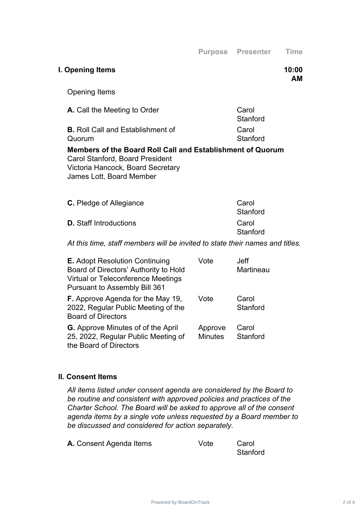**AM**

| <b>Opening Items</b>                                                                                                                                           |                   |
|----------------------------------------------------------------------------------------------------------------------------------------------------------------|-------------------|
| <b>A.</b> Call the Meeting to Order                                                                                                                            | Carol<br>Stanford |
| <b>B.</b> Roll Call and Establishment of<br>Quorum                                                                                                             | Carol<br>Stanford |
| Members of the Board Roll Call and Establishment of Quorum<br>Carol Stanford, Board President<br>Victoria Hancock, Board Secretary<br>James Lott, Board Member |                   |
| C. Pledge of Allegiance                                                                                                                                        | ∵arol             |

**I. Opening Items 10:00**

| <b>C.</b> Pledge of Allegiance | Carol             |
|--------------------------------|-------------------|
|                                | Stanford          |
| <b>D.</b> Staff Introductions  | Carol<br>Stanford |
|                                |                   |

# *At this time, staff members will be invited to state their names and titles.*

| <b>E.</b> Adopt Resolution Continuing<br>Board of Directors' Authority to Hold<br><b>Virtual or Teleconference Meetings</b><br><b>Pursuant to Assembly Bill 361</b> | Vote                      | Jeff<br>Martineau |
|---------------------------------------------------------------------------------------------------------------------------------------------------------------------|---------------------------|-------------------|
| <b>F.</b> Approve Agenda for the May 19,<br>2022, Regular Public Meeting of the<br><b>Board of Directors</b>                                                        | Vote                      | Carol<br>Stanford |
| <b>G.</b> Approve Minutes of of the April<br>25, 2022, Regular Public Meeting of<br>the Board of Directors                                                          | Approve<br><b>Minutes</b> | Carol<br>Stanford |

## **II. Consent Items**

*All items listed under consent agenda are considered by the Board to be routine and consistent with approved policies and practices of the Charter School. The Board will be asked to approve all of the consent agenda items by a single vote unless requested by a Board member to be discussed and considered for action separately.*

| A. Consent Agenda Items | Vote | Carol    |
|-------------------------|------|----------|
|                         |      | Stanford |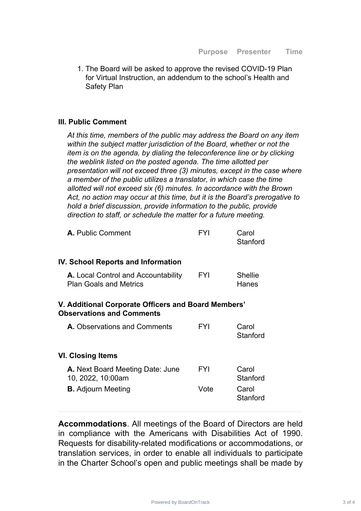1. The Board will be asked to approve the revised COVID-19 Plan for Virtual Instruction, an addendum to the school's Health and Safety Plan

## **III. Public Comment**

*At this time, members of the public may address the Board on any item within the subject matter jurisdiction of the Board, whether or not the item is on the agenda, by dialing the teleconference line or by clicking the weblink listed on the posted agenda. The time allotted per presentation will not exceed three (3) minutes, except in the case where a member of the public utilizes a translator, in which case the time allotted will not exceed six (6) minutes. In accordance with the Brown Act, no action may occur at this time, but it is the Board's prerogative to hold a brief discussion, provide information to the public, provide direction to staff, or schedule the matter for a future meeting.*

| <b>A.</b> Public Comment | <b>FYI</b> | Carol    |
|--------------------------|------------|----------|
|                          |            | Stanford |

#### **IV. School Reports and Information**

| <b>A.</b> Local Control and Accountability | <b>FYI</b> | Shellie |
|--------------------------------------------|------------|---------|
| <b>Plan Goals and Metrics</b>              |            | Hanes   |

## **V. Additional Corporate Officers and Board Members' Observations and Comments**

| A. Observations and Comments                          | FYI  | Carol<br>Stanford |
|-------------------------------------------------------|------|-------------------|
| VI. Closing Items                                     |      |                   |
| A. Next Board Meeting Date: June<br>10, 2022, 10:00am | FYI  | Carol<br>Stanford |
| <b>B.</b> Adjourn Meeting                             | Vote | Carol<br>Stanford |

**Accommodations**. All meetings of the Board of Directors are held in compliance with the Americans with Disabilities Act of 1990. Requests for disability-related modifications or accommodations, or translation services, in order to enable all individuals to participate in the Charter School's open and public meetings shall be made by